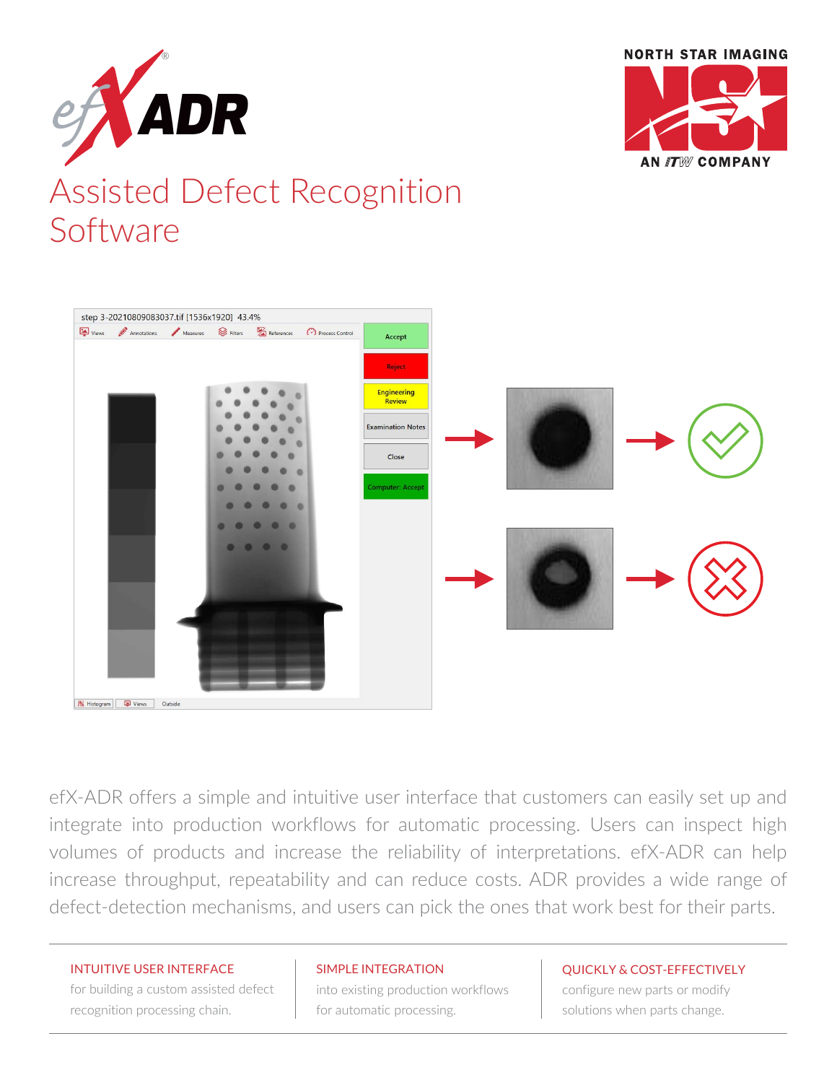



## Assisted Defect Recognition Software



efX-ADR offers a simple and intuitive user interface that customers can easily set up and integrate into production workflows for automatic processing. Users can inspect high volumes of products and increase the reliability of interpretations. efX-ADR can help increase throughput, repeatability and can reduce costs. ADR provides a wide range of defect-detection mechanisms, and users can pick the ones that work best for their parts.

#### INTUITIVE USER INTERFACE

for building a custom assisted defect recognition processing chain.

#### SIMPLE INTEGRATION

into existing production workflows for automatic processing.

#### QUICKLY & COST-EFFECTIVELY

configure new parts or modify solutions when parts change.